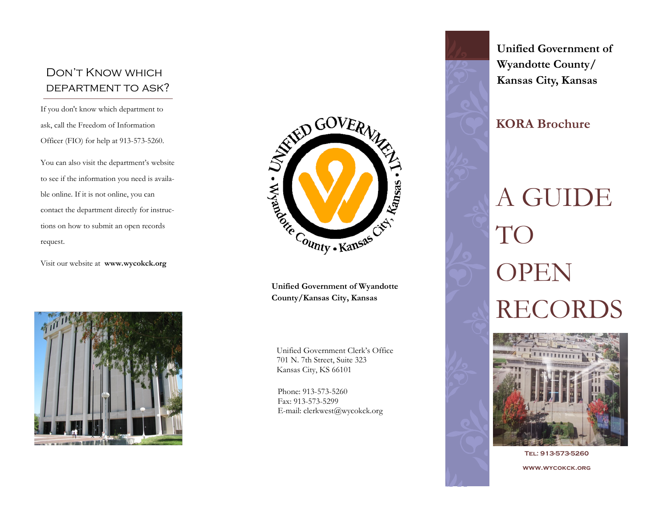## Don't Know which department to ask?

If you don't know which department to ask, call the Freedom of Information Officer (FIO) for help at 913-573-5260.

You can also visit the department's website to see if the information you need is available online. If it is not online, you can contact the department directly for instructions on how to submit an open records request.

Visit our website at **www.wycokck.org**





**Unified Government of Wyandotte County/Kansas City, Kansas**

Unified Government Clerk's Office 701 N. 7th Street, Suite 323 Kansas City, KS 66101

Phone: 913-573-5260 Fax: 913-573-5299 E-mail: clerkwest@wycokck.org





**Tel: 913-573-5260 www.wycokck.org**